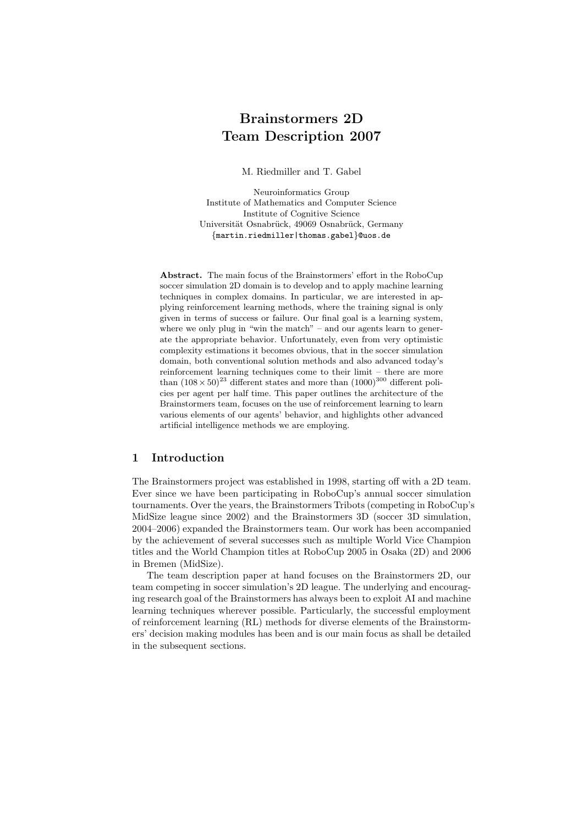# Brainstormers 2D Team Description 2007

M. Riedmiller and T. Gabel

Neuroinformatics Group Institute of Mathematics and Computer Science Institute of Cognitive Science Universität Osnabrück, 49069 Osnabrück, Germany {martin.riedmiller|thomas.gabel}@uos.de

Abstract. The main focus of the Brainstormers' effort in the RoboCup soccer simulation 2D domain is to develop and to apply machine learning techniques in complex domains. In particular, we are interested in applying reinforcement learning methods, where the training signal is only given in terms of success or failure. Our final goal is a learning system, where we only plug in "win the match" – and our agents learn to generate the appropriate behavior. Unfortunately, even from very optimistic complexity estimations it becomes obvious, that in the soccer simulation domain, both conventional solution methods and also advanced today's reinforcement learning techniques come to their limit – there are more than  $(108 \times 50)^{23}$  different states and more than  $(1000)^{300}$  different policies per agent per half time. This paper outlines the architecture of the Brainstormers team, focuses on the use of reinforcement learning to learn various elements of our agents' behavior, and highlights other advanced artificial intelligence methods we are employing.

# 1 Introduction

The Brainstormers project was established in 1998, starting off with a 2D team. Ever since we have been participating in RoboCup's annual soccer simulation tournaments. Over the years, the Brainstormers Tribots (competing in RoboCup's MidSize league since 2002) and the Brainstormers 3D (soccer 3D simulation, 2004–2006) expanded the Brainstormers team. Our work has been accompanied by the achievement of several successes such as multiple World Vice Champion titles and the World Champion titles at RoboCup 2005 in Osaka (2D) and 2006 in Bremen (MidSize).

The team description paper at hand focuses on the Brainstormers 2D, our team competing in soccer simulation's 2D league. The underlying and encouraging research goal of the Brainstormers has always been to exploit AI and machine learning techniques wherever possible. Particularly, the successful employment of reinforcement learning (RL) methods for diverse elements of the Brainstormers' decision making modules has been and is our main focus as shall be detailed in the subsequent sections.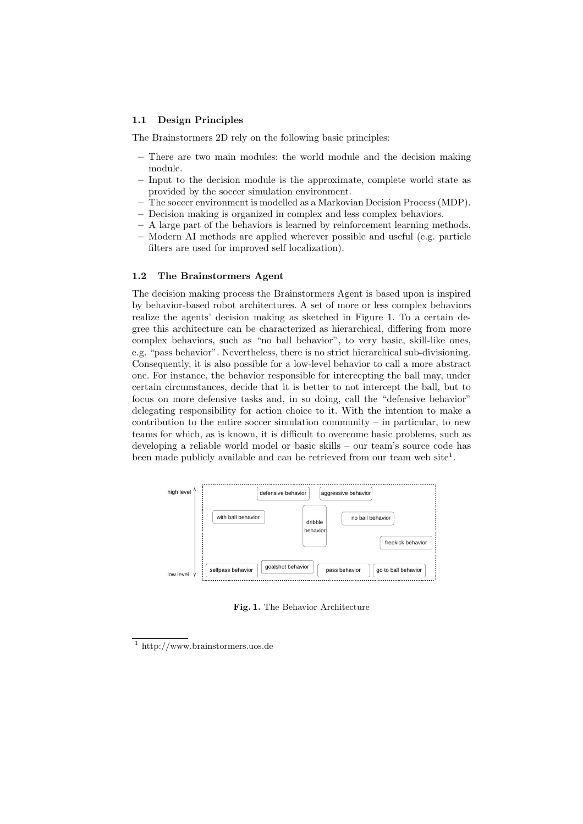#### 1.1 Design Principles

The Brainstormers 2D rely on the following basic principles:

- There are two main modules: the world module and the decision making module.
- Input to the decision module is the approximate, complete world state as provided by the soccer simulation environment.
- The soccer environment is modelled as a Markovian Decision Process (MDP).
- Decision making is organized in complex and less complex behaviors.
- A large part of the behaviors is learned by reinforcement learning methods.
- Modern AI methods are applied wherever possible and useful (e.g. particle filters are used for improved self localization).

## 1.2 The Brainstormers Agent

The decision making process the Brainstormers Agent is based upon is inspired by behavior-based robot architectures. A set of more or less complex behaviors realize the agents' decision making as sketched in Figure 1. To a certain degree this architecture can be characterized as hierarchical, differing from more complex behaviors, such as "no ball behavior", to very basic, skill-like ones, e.g. "pass behavior". Nevertheless, there is no strict hierarchical sub-divisioning. Consequently, it is also possible for a low-level behavior to call a more abstract one. For instance, the behavior responsible for intercepting the ball may, under certain circumstances, decide that it is better to not intercept the ball, but to focus on more defensive tasks and, in so doing, call the "defensive behavior" delegating responsibility for action choice to it. With the intention to make a contribution to the entire soccer simulation community – in particular, to new teams for which, as is known, it is difficult to overcome basic problems, such as developing a reliable world model or basic skills – our team's source code has been made publicly available and can be retrieved from our team web site<sup>1</sup>.



Fig. 1. The Behavior Architecture

<sup>1</sup> http://www.brainstormers.uos.de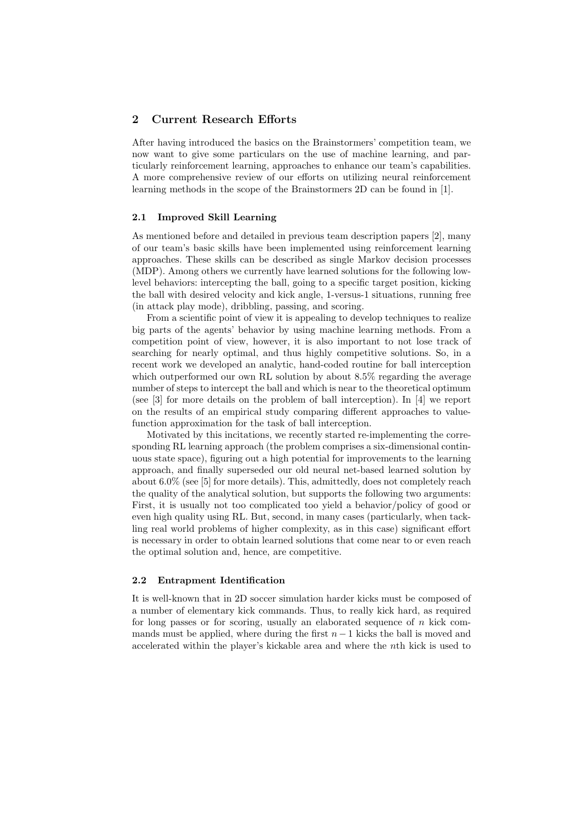# 2 Current Research Efforts

After having introduced the basics on the Brainstormers' competition team, we now want to give some particulars on the use of machine learning, and particularly reinforcement learning, approaches to enhance our team's capabilities. A more comprehensive review of our efforts on utilizing neural reinforcement learning methods in the scope of the Brainstormers 2D can be found in [1].

## 2.1 Improved Skill Learning

As mentioned before and detailed in previous team description papers [2], many of our team's basic skills have been implemented using reinforcement learning approaches. These skills can be described as single Markov decision processes (MDP). Among others we currently have learned solutions for the following lowlevel behaviors: intercepting the ball, going to a specific target position, kicking the ball with desired velocity and kick angle, 1-versus-1 situations, running free (in attack play mode), dribbling, passing, and scoring.

From a scientific point of view it is appealing to develop techniques to realize big parts of the agents' behavior by using machine learning methods. From a competition point of view, however, it is also important to not lose track of searching for nearly optimal, and thus highly competitive solutions. So, in a recent work we developed an analytic, hand-coded routine for ball interception which outperformed our own RL solution by about 8.5% regarding the average number of steps to intercept the ball and which is near to the theoretical optimum (see [3] for more details on the problem of ball interception). In [4] we report on the results of an empirical study comparing different approaches to valuefunction approximation for the task of ball interception.

Motivated by this incitations, we recently started re-implementing the corresponding RL learning approach (the problem comprises a six-dimensional continuous state space), figuring out a high potential for improvements to the learning approach, and finally superseded our old neural net-based learned solution by about 6.0% (see [5] for more details). This, admittedly, does not completely reach the quality of the analytical solution, but supports the following two arguments: First, it is usually not too complicated too yield a behavior/policy of good or even high quality using RL. But, second, in many cases (particularly, when tackling real world problems of higher complexity, as in this case) significant effort is necessary in order to obtain learned solutions that come near to or even reach the optimal solution and, hence, are competitive.

#### 2.2 Entrapment Identification

It is well-known that in 2D soccer simulation harder kicks must be composed of a number of elementary kick commands. Thus, to really kick hard, as required for long passes or for scoring, usually an elaborated sequence of  $n$  kick commands must be applied, where during the first  $n - 1$  kicks the ball is moved and accelerated within the player's kickable area and where the nth kick is used to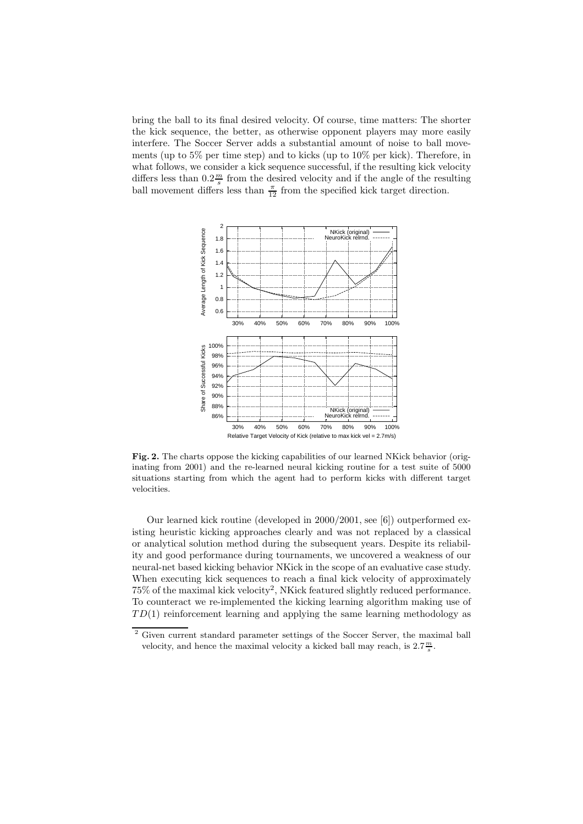bring the ball to its final desired velocity. Of course, time matters: The shorter the kick sequence, the better, as otherwise opponent players may more easily interfere. The Soccer Server adds a substantial amount of noise to ball movements (up to 5% per time step) and to kicks (up to 10% per kick). Therefore, in what follows, we consider a kick sequence successful, if the resulting kick velocity differs less than  $0.2\frac{m}{s}$  from the desired velocity and if the angle of the resulting ball movement differs less than  $\frac{\pi}{12}$  from the specified kick target direction.



Fig. 2. The charts oppose the kicking capabilities of our learned NKick behavior (originating from 2001) and the re-learned neural kicking routine for a test suite of 5000 situations starting from which the agent had to perform kicks with different target velocities.

Our learned kick routine (developed in 2000/2001, see [6]) outperformed existing heuristic kicking approaches clearly and was not replaced by a classical or analytical solution method during the subsequent years. Despite its reliability and good performance during tournaments, we uncovered a weakness of our neural-net based kicking behavior NKick in the scope of an evaluative case study. When executing kick sequences to reach a final kick velocity of approximately  $75\%$  of the maximal kick velocity<sup>2</sup>, NKick featured slightly reduced performance. To counteract we re-implemented the kicking learning algorithm making use of  $TD(1)$  reinforcement learning and applying the same learning methodology as

<sup>&</sup>lt;sup>2</sup> Given current standard parameter settings of the Soccer Server, the maximal ball velocity, and hence the maximal velocity a kicked ball may reach, is  $2.7 \frac{m}{s}$ .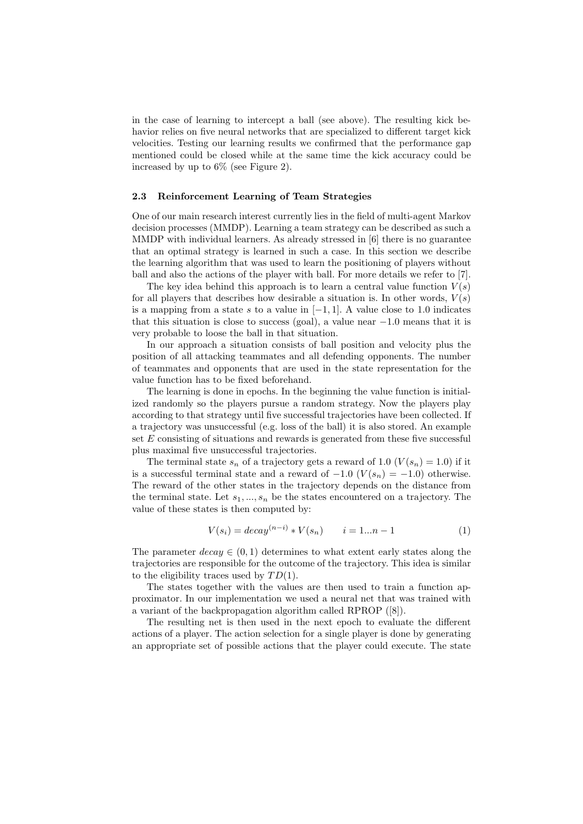in the case of learning to intercept a ball (see above). The resulting kick behavior relies on five neural networks that are specialized to different target kick velocities. Testing our learning results we confirmed that the performance gap mentioned could be closed while at the same time the kick accuracy could be increased by up to 6% (see Figure 2).

#### 2.3 Reinforcement Learning of Team Strategies

One of our main research interest currently lies in the field of multi-agent Markov decision processes (MMDP). Learning a team strategy can be described as such a MMDP with individual learners. As already stressed in [6] there is no guarantee that an optimal strategy is learned in such a case. In this section we describe the learning algorithm that was used to learn the positioning of players without ball and also the actions of the player with ball. For more details we refer to [7].

The key idea behind this approach is to learn a central value function  $V(s)$ for all players that describes how desirable a situation is. In other words,  $V(s)$ is a mapping from a state s to a value in  $[-1, 1]$ . A value close to 1.0 indicates that this situation is close to success (goal), a value near  $-1.0$  means that it is very probable to loose the ball in that situation.

In our approach a situation consists of ball position and velocity plus the position of all attacking teammates and all defending opponents. The number of teammates and opponents that are used in the state representation for the value function has to be fixed beforehand.

The learning is done in epochs. In the beginning the value function is initialized randomly so the players pursue a random strategy. Now the players play according to that strategy until five successful trajectories have been collected. If a trajectory was unsuccessful (e.g. loss of the ball) it is also stored. An example set E consisting of situations and rewards is generated from these five successful plus maximal five unsuccessful trajectories.

The terminal state  $s_n$  of a trajectory gets a reward of 1.0  $(V(s_n) = 1.0)$  if it is a successful terminal state and a reward of  $-1.0$   $(V(s_n) = -1.0)$  otherwise. The reward of the other states in the trajectory depends on the distance from the terminal state. Let  $s_1, ..., s_n$  be the states encountered on a trajectory. The value of these states is then computed by:

$$
V(s_i) = decay^{(n-i)} * V(s_n) \qquad i = 1...n - 1 \tag{1}
$$

The parameter  $decay \in (0, 1)$  determines to what extent early states along the trajectories are responsible for the outcome of the trajectory. This idea is similar to the eligibility traces used by  $TD(1)$ .

The states together with the values are then used to train a function approximator. In our implementation we used a neural net that was trained with a variant of the backpropagation algorithm called RPROP ([8]).

The resulting net is then used in the next epoch to evaluate the different actions of a player. The action selection for a single player is done by generating an appropriate set of possible actions that the player could execute. The state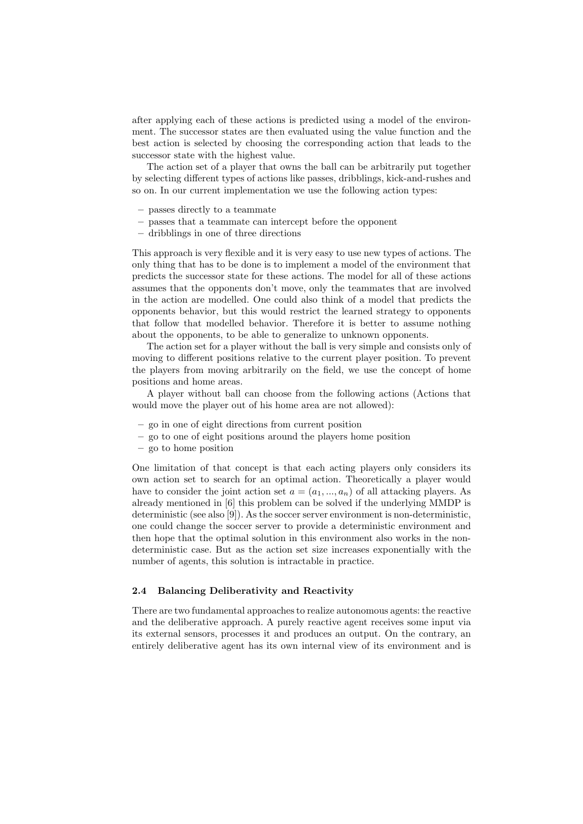after applying each of these actions is predicted using a model of the environment. The successor states are then evaluated using the value function and the best action is selected by choosing the corresponding action that leads to the successor state with the highest value.

The action set of a player that owns the ball can be arbitrarily put together by selecting different types of actions like passes, dribblings, kick-and-rushes and so on. In our current implementation we use the following action types:

- passes directly to a teammate
- passes that a teammate can intercept before the opponent
- dribblings in one of three directions

This approach is very flexible and it is very easy to use new types of actions. The only thing that has to be done is to implement a model of the environment that predicts the successor state for these actions. The model for all of these actions assumes that the opponents don't move, only the teammates that are involved in the action are modelled. One could also think of a model that predicts the opponents behavior, but this would restrict the learned strategy to opponents that follow that modelled behavior. Therefore it is better to assume nothing about the opponents, to be able to generalize to unknown opponents.

The action set for a player without the ball is very simple and consists only of moving to different positions relative to the current player position. To prevent the players from moving arbitrarily on the field, we use the concept of home positions and home areas.

A player without ball can choose from the following actions (Actions that would move the player out of his home area are not allowed):

- go in one of eight directions from current position
- go to one of eight positions around the players home position
- go to home position

One limitation of that concept is that each acting players only considers its own action set to search for an optimal action. Theoretically a player would have to consider the joint action set  $a = (a_1, ..., a_n)$  of all attacking players. As already mentioned in [6] this problem can be solved if the underlying MMDP is deterministic (see also [9]). As the soccer server environment is non-deterministic, one could change the soccer server to provide a deterministic environment and then hope that the optimal solution in this environment also works in the nondeterministic case. But as the action set size increases exponentially with the number of agents, this solution is intractable in practice.

## 2.4 Balancing Deliberativity and Reactivity

There are two fundamental approaches to realize autonomous agents: the reactive and the deliberative approach. A purely reactive agent receives some input via its external sensors, processes it and produces an output. On the contrary, an entirely deliberative agent has its own internal view of its environment and is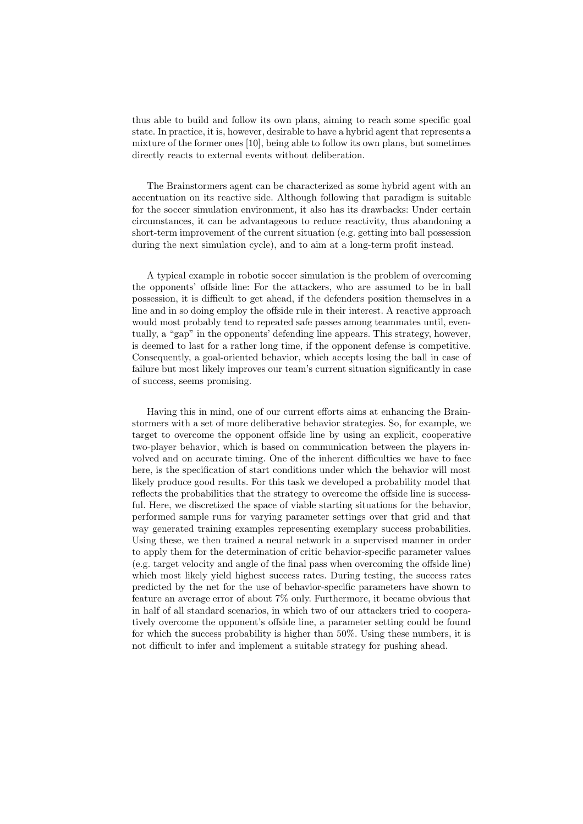thus able to build and follow its own plans, aiming to reach some specific goal state. In practice, it is, however, desirable to have a hybrid agent that represents a mixture of the former ones [10], being able to follow its own plans, but sometimes directly reacts to external events without deliberation.

The Brainstormers agent can be characterized as some hybrid agent with an accentuation on its reactive side. Although following that paradigm is suitable for the soccer simulation environment, it also has its drawbacks: Under certain circumstances, it can be advantageous to reduce reactivity, thus abandoning a short-term improvement of the current situation (e.g. getting into ball possession during the next simulation cycle), and to aim at a long-term profit instead.

A typical example in robotic soccer simulation is the problem of overcoming the opponents' offside line: For the attackers, who are assumed to be in ball possession, it is difficult to get ahead, if the defenders position themselves in a line and in so doing employ the offside rule in their interest. A reactive approach would most probably tend to repeated safe passes among teammates until, eventually, a "gap" in the opponents' defending line appears. This strategy, however, is deemed to last for a rather long time, if the opponent defense is competitive. Consequently, a goal-oriented behavior, which accepts losing the ball in case of failure but most likely improves our team's current situation significantly in case of success, seems promising.

Having this in mind, one of our current efforts aims at enhancing the Brainstormers with a set of more deliberative behavior strategies. So, for example, we target to overcome the opponent offside line by using an explicit, cooperative two-player behavior, which is based on communication between the players involved and on accurate timing. One of the inherent difficulties we have to face here, is the specification of start conditions under which the behavior will most likely produce good results. For this task we developed a probability model that reflects the probabilities that the strategy to overcome the offside line is successful. Here, we discretized the space of viable starting situations for the behavior, performed sample runs for varying parameter settings over that grid and that way generated training examples representing exemplary success probabilities. Using these, we then trained a neural network in a supervised manner in order to apply them for the determination of critic behavior-specific parameter values (e.g. target velocity and angle of the final pass when overcoming the offside line) which most likely yield highest success rates. During testing, the success rates predicted by the net for the use of behavior-specific parameters have shown to feature an average error of about 7% only. Furthermore, it became obvious that in half of all standard scenarios, in which two of our attackers tried to cooperatively overcome the opponent's offside line, a parameter setting could be found for which the success probability is higher than 50%. Using these numbers, it is not difficult to infer and implement a suitable strategy for pushing ahead.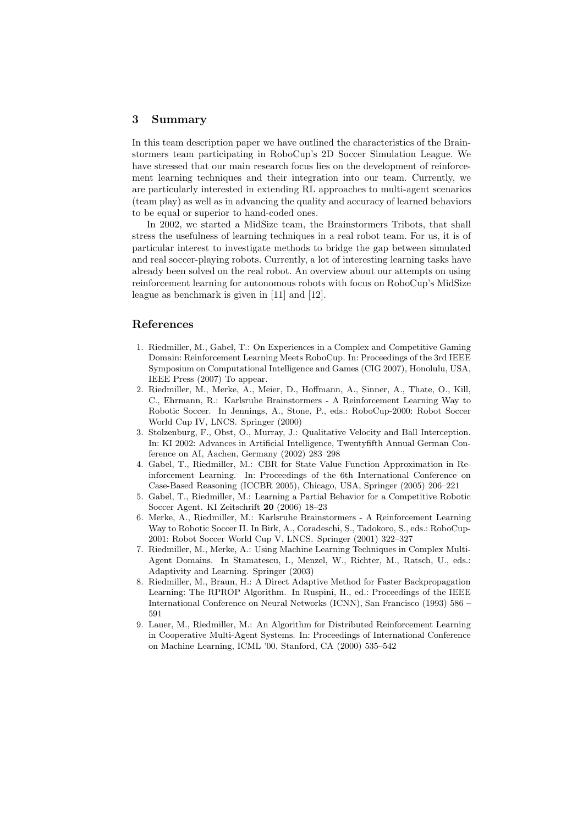#### 3 Summary

In this team description paper we have outlined the characteristics of the Brainstormers team participating in RoboCup's 2D Soccer Simulation League. We have stressed that our main research focus lies on the development of reinforcement learning techniques and their integration into our team. Currently, we are particularly interested in extending RL approaches to multi-agent scenarios (team play) as well as in advancing the quality and accuracy of learned behaviors to be equal or superior to hand-coded ones.

In 2002, we started a MidSize team, the Brainstormers Tribots, that shall stress the usefulness of learning techniques in a real robot team. For us, it is of particular interest to investigate methods to bridge the gap between simulated and real soccer-playing robots. Currently, a lot of interesting learning tasks have already been solved on the real robot. An overview about our attempts on using reinforcement learning for autonomous robots with focus on RoboCup's MidSize league as benchmark is given in [11] and [12].

# References

- 1. Riedmiller, M., Gabel, T.: On Experiences in a Complex and Competitive Gaming Domain: Reinforcement Learning Meets RoboCup. In: Proceedings of the 3rd IEEE Symposium on Computational Intelligence and Games (CIG 2007), Honolulu, USA, IEEE Press (2007) To appear.
- 2. Riedmiller, M., Merke, A., Meier, D., Hoffmann, A., Sinner, A., Thate, O., Kill, C., Ehrmann, R.: Karlsruhe Brainstormers - A Reinforcement Learning Way to Robotic Soccer. In Jennings, A., Stone, P., eds.: RoboCup-2000: Robot Soccer World Cup IV, LNCS. Springer (2000)
- 3. Stolzenburg, F., Obst, O., Murray, J.: Qualitative Velocity and Ball Interception. In: KI 2002: Advances in Artificial Intelligence, Twentyfifth Annual German Conference on AI, Aachen, Germany (2002) 283–298
- 4. Gabel, T., Riedmiller, M.: CBR for State Value Function Approximation in Reinforcement Learning. In: Proceedings of the 6th International Conference on Case-Based Reasoning (ICCBR 2005), Chicago, USA, Springer (2005) 206–221
- 5. Gabel, T., Riedmiller, M.: Learning a Partial Behavior for a Competitive Robotic Soccer Agent. KI Zeitschrift 20 (2006) 18–23
- 6. Merke, A., Riedmiller, M.: Karlsruhe Brainstormers A Reinforcement Learning Way to Robotic Soccer II. In Birk, A., Coradeschi, S., Tadokoro, S., eds.: RoboCup-2001: Robot Soccer World Cup V, LNCS. Springer (2001) 322–327
- 7. Riedmiller, M., Merke, A.: Using Machine Learning Techniques in Complex Multi-Agent Domains. In Stamatescu, I., Menzel, W., Richter, M., Ratsch, U., eds.: Adaptivity and Learning. Springer (2003)
- 8. Riedmiller, M., Braun, H.: A Direct Adaptive Method for Faster Backpropagation Learning: The RPROP Algorithm. In Ruspini, H., ed.: Proceedings of the IEEE International Conference on Neural Networks (ICNN), San Francisco (1993) 586 – 591
- 9. Lauer, M., Riedmiller, M.: An Algorithm for Distributed Reinforcement Learning in Cooperative Multi-Agent Systems. In: Proceedings of International Conference on Machine Learning, ICML '00, Stanford, CA (2000) 535–542